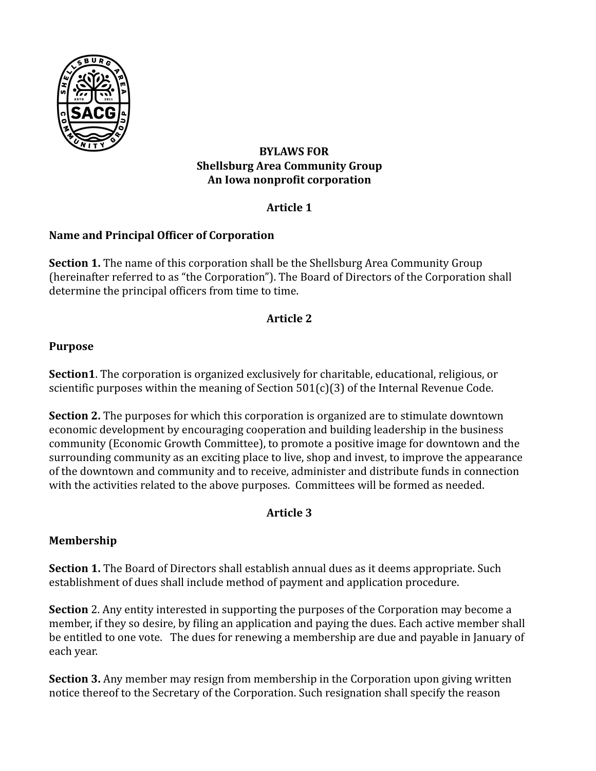

# **BYLAWS FOR Shellsburg Area Community Group An Iowa nonprofit corporation**

# **Article 1**

# **Name and Principal Officer of Corporation**

**Section 1.** The name of this corporation shall be the Shellsburg Area Community Group (hereinafter referred to as "the Corporation"). The Board of Directors of the Corporation shall determine the principal officers from time to time.

# **Article 2**

# **Purpose**

**Section1**. The corporation is organized exclusively for charitable, educational, religious, or scientific purposes within the meaning of Section  $501(c)(3)$  of the Internal Revenue Code.

**Section 2.** The purposes for which this corporation is organized are to stimulate downtown economic development by encouraging cooperation and building leadership in the business community (Economic Growth Committee), to promote a positive image for downtown and the surrounding community as an exciting place to live, shop and invest, to improve the appearance of the downtown and community and to receive, administer and distribute funds in connection with the activities related to the above purposes. Committees will be formed as needed.

# **Article 3**

# **Membership**

**Section 1.** The Board of Directors shall establish annual dues as it deems appropriate. Such establishment of dues shall include method of payment and application procedure.

**Section** 2. Any entity interested in supporting the purposes of the Corporation may become a member, if they so desire, by filing an application and paying the dues. Each active member shall be entitled to one vote. The dues for renewing a membership are due and payable in January of each year.

**Section 3.** Any member may resign from membership in the Corporation upon giving written notice thereof to the Secretary of the Corporation. Such resignation shall specify the reason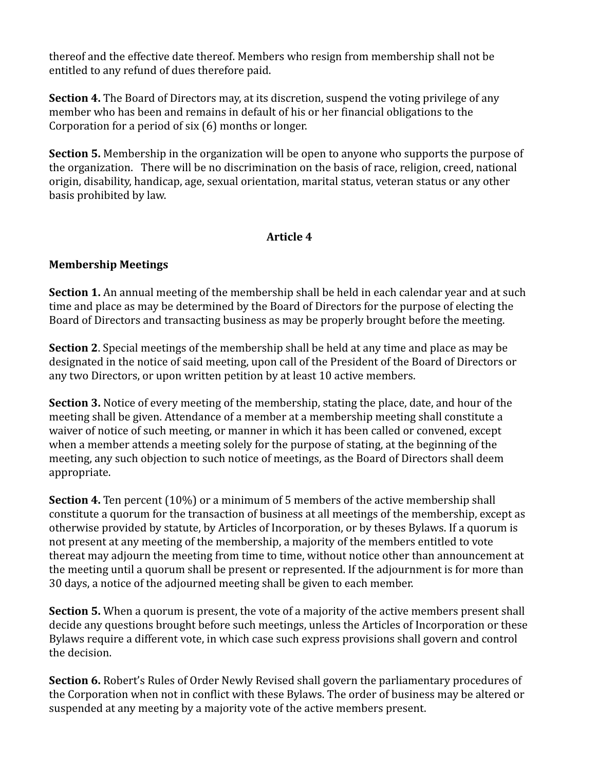thereof and the effective date thereof. Members who resign from membership shall not be entitled to any refund of dues therefore paid.

**Section 4.** The Board of Directors may, at its discretion, suspend the voting privilege of any member who has been and remains in default of his or her financial obligations to the Corporation for a period of six (6) months or longer.

**Section 5.** Membership in the organization will be open to anyone who supports the purpose of the organization. There will be no discrimination on the basis of race, religion, creed, national origin, disability, handicap, age, sexual orientation, marital status, veteran status or any other basis prohibited by law.

### **Article 4**

# **Membership Meetings**

**Section 1.** An annual meeting of the membership shall be held in each calendar year and at such time and place as may be determined by the Board of Directors for the purpose of electing the Board of Directors and transacting business as may be properly brought before the meeting.

**Section 2**. Special meetings of the membership shall be held at any time and place as may be designated in the notice of said meeting, upon call of the President of the Board of Directors or any two Directors, or upon written petition by at least 10 active members.

**Section 3.** Notice of every meeting of the membership, stating the place, date, and hour of the meeting shall be given. Attendance of a member at a membership meeting shall constitute a waiver of notice of such meeting, or manner in which it has been called or convened, except when a member attends a meeting solely for the purpose of stating, at the beginning of the meeting, any such objection to such notice of meetings, as the Board of Directors shall deem appropriate.

**Section 4.** Ten percent (10%) or a minimum of 5 members of the active membership shall constitute a quorum for the transaction of business at all meetings of the membership, except as otherwise provided by statute, by Articles of Incorporation, or by theses Bylaws. If a quorum is not present at any meeting of the membership, a majority of the members entitled to vote thereat may adjourn the meeting from time to time, without notice other than announcement at the meeting until a quorum shall be present or represented. If the adjournment is for more than 30 days, a notice of the adjourned meeting shall be given to each member.

**Section 5.** When a quorum is present, the vote of a majority of the active members present shall decide any questions brought before such meetings, unless the Articles of Incorporation or these Bylaws require a different vote, in which case such express provisions shall govern and control the decision.

**Section 6.** Robert's Rules of Order Newly Revised shall govern the parliamentary procedures of the Corporation when not in conflict with these Bylaws. The order of business may be altered or suspended at any meeting by a majority vote of the active members present.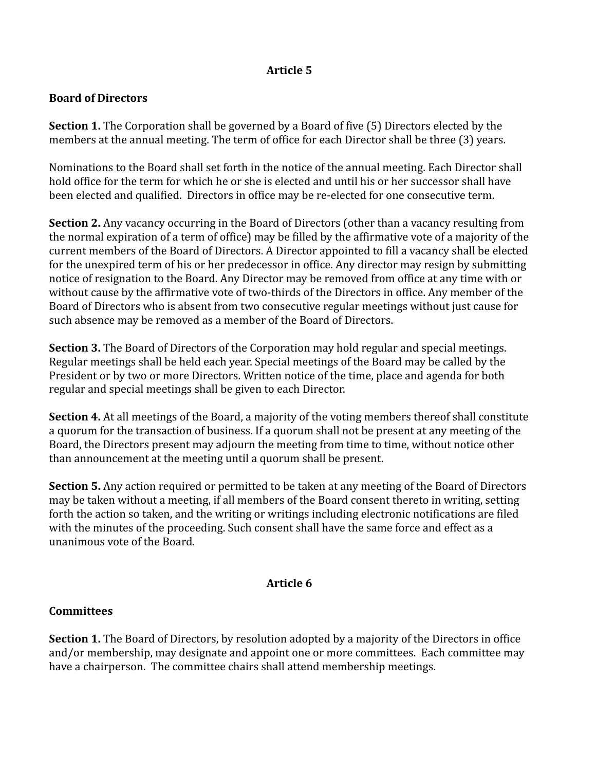# **Article 5**

### **Board of Directors**

**Section 1.** The Corporation shall be governed by a Board of five (5) Directors elected by the members at the annual meeting. The term of office for each Director shall be three (3) years.

Nominations to the Board shall set forth in the notice of the annual meeting. Each Director shall hold office for the term for which he or she is elected and until his or her successor shall have been elected and qualified. Directors in office may be re-elected for one consecutive term.

**Section 2.** Any vacancy occurring in the Board of Directors (other than a vacancy resulting from the normal expiration of a term of office) may be filled by the affirmative vote of a majority of the current members of the Board of Directors. A Director appointed to fill a vacancy shall be elected for the unexpired term of his or her predecessor in office. Any director may resign by submitting notice of resignation to the Board. Any Director may be removed from office at any time with or without cause by the affirmative vote of two-thirds of the Directors in office. Any member of the Board of Directors who is absent from two consecutive regular meetings without just cause for such absence may be removed as a member of the Board of Directors.

**Section 3.** The Board of Directors of the Corporation may hold regular and special meetings. Regular meetings shall be held each year. Special meetings of the Board may be called by the President or by two or more Directors. Written notice of the time, place and agenda for both regular and special meetings shall be given to each Director.

**Section 4.** At all meetings of the Board, a majority of the voting members thereof shall constitute a quorum for the transaction of business. If a quorum shall not be present at any meeting of the Board, the Directors present may adjourn the meeting from time to time, without notice other than announcement at the meeting until a quorum shall be present.

**Section 5.** Any action required or permitted to be taken at any meeting of the Board of Directors may be taken without a meeting, if all members of the Board consent thereto in writing, setting forth the action so taken, and the writing or writings including electronic notifications are filed with the minutes of the proceeding. Such consent shall have the same force and effect as a unanimous vote of the Board.

#### **Article 6**

#### **Committees**

**Section 1.** The Board of Directors, by resolution adopted by a majority of the Directors in office and/or membership, may designate and appoint one or more committees. Each committee may have a chairperson. The committee chairs shall attend membership meetings.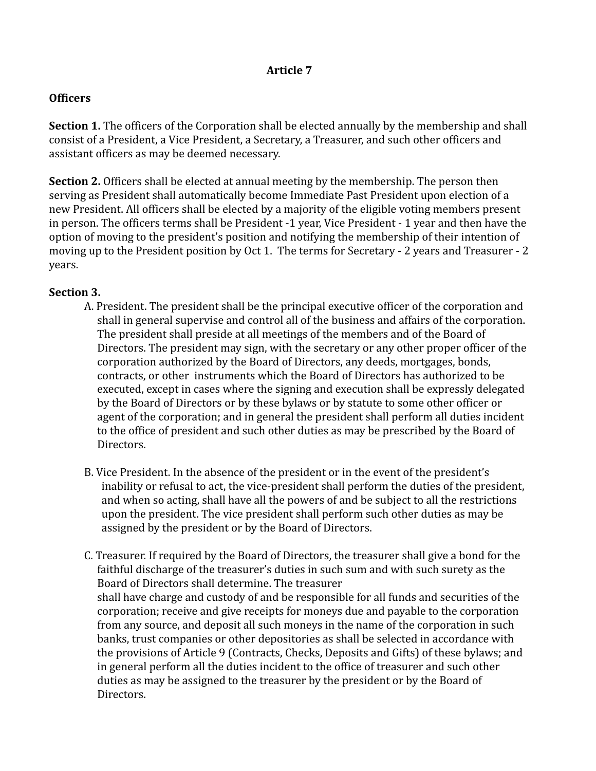### **Article 7**

#### **Officers**

**Section 1.** The officers of the Corporation shall be elected annually by the membership and shall consist of a President, a Vice President, a Secretary, a Treasurer, and such other officers and assistant officers as may be deemed necessary.

**Section 2.** Officers shall be elected at annual meeting by the membership. The person then serving as President shall automatically become Immediate Past President upon election of a new President. All officers shall be elected by a majority of the eligible voting members present in person. The officers terms shall be President -1 year, Vice President - 1 year and then have the option of moving to the president's position and notifying the membership of their intention of moving up to the President position by Oct 1. The terms for Secretary - 2 years and Treasurer - 2 years.

### **Section 3.**

- A. President. The president shall be the principal executive officer of the corporation and shall in general supervise and control all of the business and affairs of the corporation. The president shall preside at all meetings of the members and of the Board of Directors. The president may sign, with the secretary or any other proper officer of the corporation authorized by the Board of Directors, any deeds, mortgages, bonds, contracts, or other instruments which the Board of Directors has authorized to be executed, except in cases where the signing and execution shall be expressly delegated by the Board of Directors or by these bylaws or by statute to some other officer or agent of the corporation; and in general the president shall perform all duties incident to the office of president and such other duties as may be prescribed by the Board of Directors.
- B. Vice President. In the absence of the president or in the event of the president's inability or refusal to act, the vice‐president shall perform the duties of the president, and when so acting, shall have all the powers of and be subject to all the restrictions upon the president. The vice president shall perform such other duties as may be assigned by the president or by the Board of Directors.
- C. Treasurer. If required by the Board of Directors, the treasurer shall give a bond for the faithful discharge of the treasurer's duties in such sum and with such surety as the Board of Directors shall determine. The treasurer shall have charge and custody of and be responsible for all funds and securities of the corporation; receive and give receipts for moneys due and payable to the corporation from any source, and deposit all such moneys in the name of the corporation in such banks, trust companies or other depositories as shall be selected in accordance with the provisions of Article 9 (Contracts, Checks, Deposits and Gifts) of these bylaws; and in general perform all the duties incident to the office of treasurer and such other duties as may be assigned to the treasurer by the president or by the Board of Directors.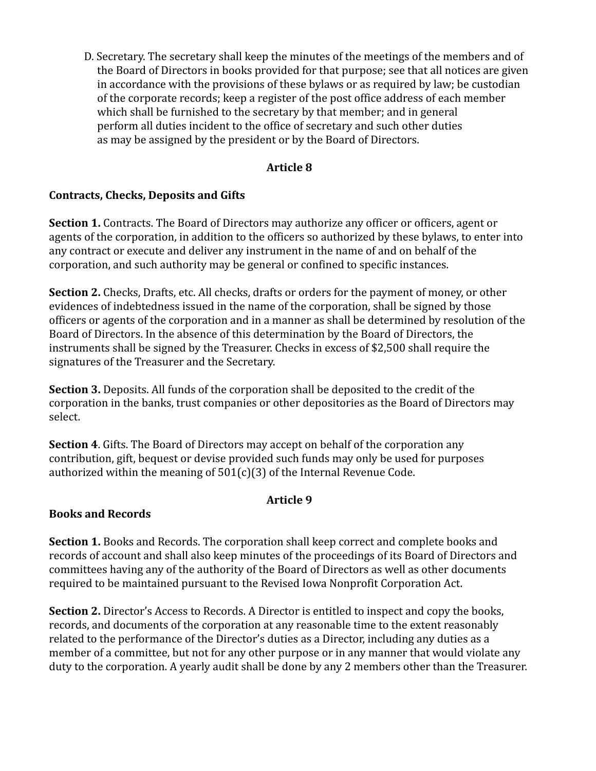D. Secretary. The secretary shall keep the minutes of the meetings of the members and of the Board of Directors in books provided for that purpose; see that all notices are given in accordance with the provisions of these bylaws or as required by law; be custodian of the corporate records; keep a register of the post office address of each member which shall be furnished to the secretary by that member; and in general perform all duties incident to the office of secretary and such other duties as may be assigned by the president or by the Board of Directors.

### **Article 8**

# **Contracts, Checks, Deposits and Gifts**

**Section 1.** Contracts. The Board of Directors may authorize any officer or officers, agent or agents of the corporation, in addition to the officers so authorized by these bylaws, to enter into any contract or execute and deliver any instrument in the name of and on behalf of the corporation, and such authority may be general or confined to specific instances.

**Section 2.** Checks, Drafts, etc. All checks, drafts or orders for the payment of money, or other evidences of indebtedness issued in the name of the corporation, shall be signed by those officers or agents of the corporation and in a manner as shall be determined by resolution of the Board of Directors. In the absence of this determination by the Board of Directors, the instruments shall be signed by the Treasurer. Checks in excess of \$2,500 shall require the signatures of the Treasurer and the Secretary.

**Section 3.** Deposits. All funds of the corporation shall be deposited to the credit of the corporation in the banks, trust companies or other depositories as the Board of Directors may select.

**Section 4**. Gifts. The Board of Directors may accept on behalf of the corporation any contribution, gift, bequest or devise provided such funds may only be used for purposes authorized within the meaning of  $501(c)(3)$  of the Internal Revenue Code.

# **Article 9**

# **Books and Records**

**Section 1.** Books and Records. The corporation shall keep correct and complete books and records of account and shall also keep minutes of the proceedings of its Board of Directors and committees having any of the authority of the Board of Directors as well as other documents required to be maintained pursuant to the Revised Iowa Nonprofit Corporation Act.

**Section 2.** Director's Access to Records. A Director is entitled to inspect and copy the books, records, and documents of the corporation at any reasonable time to the extent reasonably related to the performance of the Director's duties as a Director, including any duties as a member of a committee, but not for any other purpose or in any manner that would violate any duty to the corporation. A yearly audit shall be done by any 2 members other than the Treasurer.